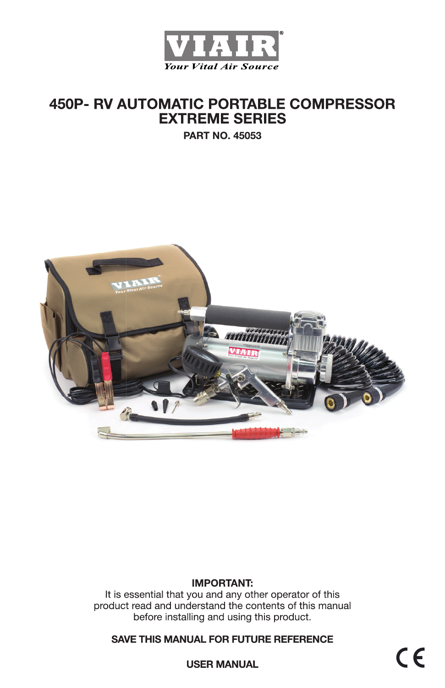

# **450P- RV AUTOMATIC PORTABLE COMPRESSOR EXTREME SERIES**

**PART NO. 45053** 



### **IMPORTANT:**

It is essential that you and any other operator of this product read and understand the contents of this manual before installing and using this product.

**SAVE THIS MANUAL FOR FUTURE REFERENCE** 

 $C \in$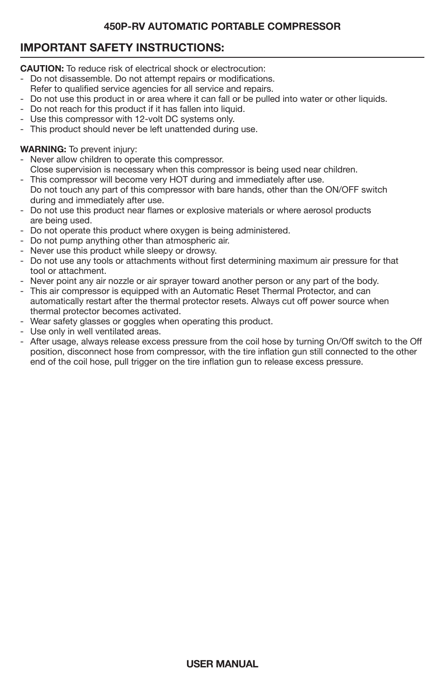# **IMPORTANT SAFETY INSTRUCTIONS:**

**CAUTION:** To reduce risk of electrical shock or electrocution:

- Do not disassemble. Do not attempt repairs or modifications.
- Refer to qualified service agencies for all service and repairs.
- Do not use this product in or area where it can fall or be pulled into water or other liquids.
- Do not reach for this product if it has fallen into liquid.
- Use this compressor with 12-volt DC systems only.
- This product should never be left unattended during use.

### **WARNING:** To prevent injury:

- Never allow children to operate this compressor.
- Close supervision is necessary when this compressor is being used near children.
- This compressor will become very HOT during and immediately after use. Do not touch any part of this compressor with bare hands, other than the ON/OFF switch during and immediately after use.
- Do not use this product near flames or explosive materials or where aerosol products are being used.
- Do not operate this product where oxygen is being administered.
- Do not pump anything other than atmospheric air.
- Never use this product while sleepy or drowsy.
- Do not use any tools or attachments without first determining maximum air pressure for that tool or attachment.
- Never point any air nozzle or air sprayer toward another person or any part of the body.
- This air compressor is equipped with an Automatic Reset Thermal Protector, and can automatically restart after the thermal protector resets. Always cut off power source when thermal protector becomes activated.
- Wear safety glasses or goggles when operating this product.
- Use only in well ventilated areas.
- After usage, always release excess pressure from the coil hose by turning On/Off switch to the Off position, disconnect hose from compressor, with the tire inflation gun still connected to the other end of the coil hose, pull trigger on the tire inflation gun to release excess pressure.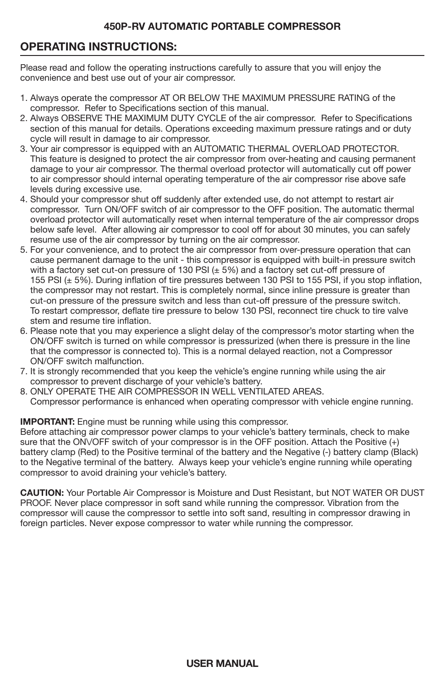# **OPERATING INSTRUCTIONS:**

Please read and follow the operating instructions carefully to assure that you will enjoy the convenience and best use out of your air compressor.

- 1. Always operate the compressor AT OR BELOW THE MAXIMUM PRESSURE RATING of the compressor. Refer to Specifications section of this manual.
- 2. Always OBSERVE THE MAXIMUM DUTY CYCLE of the air compressor. Refer to Specifications section of this manual for details. Operations exceeding maximum pressure ratings and or duty cycle will result in damage to air compressor.
- 3. Your air compressor is equipped with an AUTOMATIC THERMAL OVERLOAD PROTECTOR. This feature is designed to protect the air compressor from over-heating and causing permanent damage to your air compressor. The thermal overload protector will automatically cut off power to air compressor should internal operating temperature of the air compressor rise above safe levels during excessive use.
- 4. Should your compressor shut off suddenly after extended use, do not attempt to restart air compressor. Turn ON/OFF switch of air compressor to the OFF position. The automatic thermal overload protector will automatically reset when internal temperature of the air compressor drops below safe level. After allowing air compressor to cool off for about 30 minutes, you can safely resume use of the air compressor by turning on the air compressor.
- 5. For your convenience, and to protect the air compressor from over-pressure operation that can cause permanent damage to the unit - this compressor is equipped with built-in pressure switch with a factory set cut-on pressure of 130 PSI  $(\pm 5%)$  and a factory set cut-off pressure of 155 PSI (± 5%). During inflation of tire pressures between 130 PSI to 155 PSI, if you stop inflation, the compressor may not restart. This is completely normal, since inline pressure is greater than cut-on pressure of the pressure switch and less than cut-off pressure of the pressure switch. To restart compressor, deflate tire pressure to below 130 PSI, reconnect tire chuck to tire valve stem and resume tire inflation.
- 6. Please note that you may experience a slight delay of the compressor's motor starting when the ON/OFF switch is turned on while compressor is pressurized (when there is pressure in the line that the compressor is connected to). This is a normal delayed reaction, not a Compressor ON/OFF switch malfunction.
- 7. It is strongly recommended that you keep the vehicle's engine running while using the air compressor to prevent discharge of your vehicle's battery.
- 8. ONLY OPERATE THE AIR COMPRESSOR IN WELL VENTILATED AREAS. Compressor performance is enhanced when operating compressor with vehicle engine running.

#### **IMPORTANT:** Engine must be running while using this compressor.

Before attaching air compressor power clamps to your vehicle's battery terminals, check to make sure that the ONVOFF switch of your compressor is in the OFF position. Attach the Positive (+) battery clamp (Red) to the Positive terminal of the battery and the Negative (-) battery clamp (Black) to the Negative terminal of the battery. Always keep your vehicle's engine running while operating compressor to avoid draining your vehicle's battery.

**CAUTION:** Your Portable Air Compressor is Moisture and Dust Resistant, but NOT WATER OR DUST PROOF. Never place compressor in soft sand while running the compressor. Vibration from the compressor will cause the compressor to settle into soft sand, resulting in compressor drawing in foreign particles. Never expose compressor to water while running the compressor.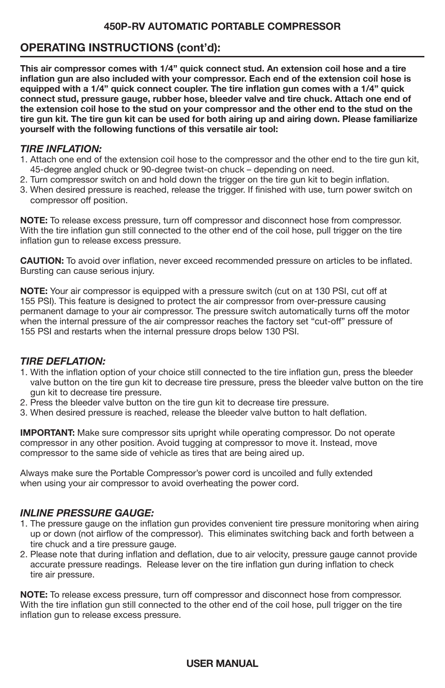# **OPERATING INSTRUCTIONS (cont'd):**

**This air compressor comes with 1/4" quick connect stud. An extension coil hose and a tire inflation gun are also included with your compressor. Each end of the extension coil hose is equipped with a 1/4" quick connect coupler. The tire inflation gun comes with a 1/4" quick connect stud, pressure gauge, rubber hose, bleeder valve and tire chuck. Attach one end of the extension coil hose to the stud on your compressor and the other end to the stud on the tire gun kit. The tire gun kit can be used for both airing up and airing down. Please familiarize yourself with the following functions of this versatile air tool:**

### *TIRE INFLATION:*

- 1. Attach one end of the extension coil hose to the compressor and the other end to the tire gun kit, 45-degree angled chuck or 90-degree twist-on chuck – depending on need.
- 2. Turn compressor switch on and hold down the trigger on the tire gun kit to begin inflation.
- 3. When desired pressure is reached, release the trigger. If finished with use, turn power switch on compressor off position.

**NOTE:** To release excess pressure, turn off compressor and disconnect hose from compressor. With the tire inflation gun still connected to the other end of the coil hose, pull trigger on the tire inflation gun to release excess pressure.

**CAUTION:** To avoid over inflation, never exceed recommended pressure on articles to be inflated. Bursting can cause serious injury.

**NOTE:** Your air compressor is equipped with a pressure switch (cut on at 130 PSI, cut off at 155 PSI). This feature is designed to protect the air compressor from over-pressure causing permanent damage to your air compressor. The pressure switch automatically turns off the motor when the internal pressure of the air compressor reaches the factory set "cut-off" pressure of 155 PSI and restarts when the internal pressure drops below 130 PSI.

### *TIRE DEFLATION:*

- 1. With the inflation option of your choice still connected to the tire inflation gun, press the bleeder valve button on the tire gun kit to decrease tire pressure, press the bleeder valve button on the tire gun kit to decrease tire pressure.
- 2. Press the bleeder valve button on the tire gun kit to decrease tire pressure.
- 3. When desired pressure is reached, release the bleeder valve button to halt deflation.

**IMPORTANT:** Make sure compressor sits upright while operating compressor. Do not operate compressor in any other position. Avoid tugging at compressor to move it. Instead, move compressor to the same side of vehicle as tires that are being aired up.

Always make sure the Portable Compressor's power cord is uncoiled and fully extended when using your air compressor to avoid overheating the power cord.

### *INLINE PRESSURE GAUGE:*

- 1. The pressure gauge on the inflation gun provides convenient tire pressure monitoring when airing up or down (not airflow of the compressor). This eliminates switching back and forth between a tire chuck and a tire pressure gauge.
- 2. Please note that during inflation and deflation, due to air velocity, pressure gauge cannot provide accurate pressure readings. Release lever on the tire inflation gun during inflation to check tire air pressure.

**NOTE:** To release excess pressure, turn off compressor and disconnect hose from compressor. With the tire inflation gun still connected to the other end of the coil hose, pull trigger on the tire inflation gun to release excess pressure.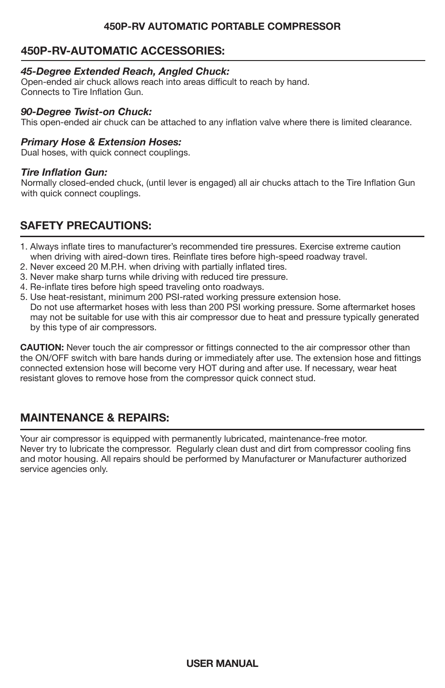# **450P-RV-AUTOMATIC ACCESSORIES:**

#### *45-Degree Extended Reach, Angled Chuck:*

Open-ended air chuck allows reach into areas difficult to reach by hand. Connects to Tire Inflation Gun.

#### *90-Degree Twist-on Chuck:*

This open-ended air chuck can be attached to any inflation valve where there is limited clearance.

#### *Primary Hose & Extension Hoses:*

Dual hoses, with quick connect couplings.

#### *Tire Inflation Gun:*

Normally closed-ended chuck, (until lever is engaged) all air chucks attach to the Tire Inflation Gun with quick connect couplings.

# **SAFETY PRECAUTIONS:**

- 1. Always inflate tires to manufacturer's recommended tire pressures. Exercise extreme caution when driving with aired-down tires. Reinflate tires before high-speed roadway travel.
- 2. Never exceed 20 M.P.H. when driving with partially inflated tires.
- 3. Never make sharp turns while driving with reduced tire pressure.
- 4. Re-inflate tires before high speed traveling onto roadways.
- 5. Use heat-resistant, minimum 200 PSI-rated working pressure extension hose. Do not use aftermarket hoses with less than 200 PSI working pressure. Some aftermarket hoses may not be suitable for use with this air compressor due to heat and pressure typically generated by this type of air compressors.

**CAUTION:** Never touch the air compressor or fittings connected to the air compressor other than the ON/OFF switch with bare hands during or immediately after use. The extension hose and fittings connected extension hose will become very HOT during and after use. If necessary, wear heat resistant gloves to remove hose from the compressor quick connect stud.

# **MAINTENANCE & REPAIRS:**

Your air compressor is equipped with permanently lubricated, maintenance-free motor. Never try to lubricate the compressor. Regularly clean dust and dirt from compressor cooling fins and motor housing. All repairs should be performed by Manufacturer or Manufacturer authorized service agencies only.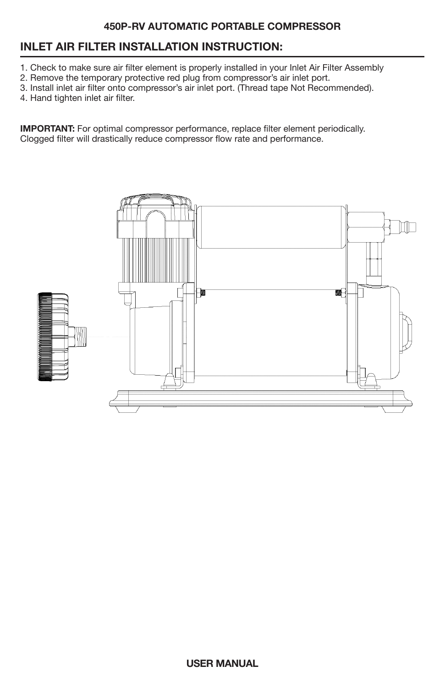# **INLET AIR FILTER INSTALLATION INSTRUCTION:**

- 1. Check to make sure air filter element is properly installed in your Inlet Air Filter Assembly
- 2. Remove the temporary protective red plug from compressor's air inlet port.
- 3. Install inlet air filter onto compressor's air inlet port. (Thread tape Not Recommended).
- 4. Hand tighten inlet air filter.

**IMPORTANT:** For optimal compressor performance, replace filter element periodically. Clogged filter will drastically reduce compressor flow rate and performance.

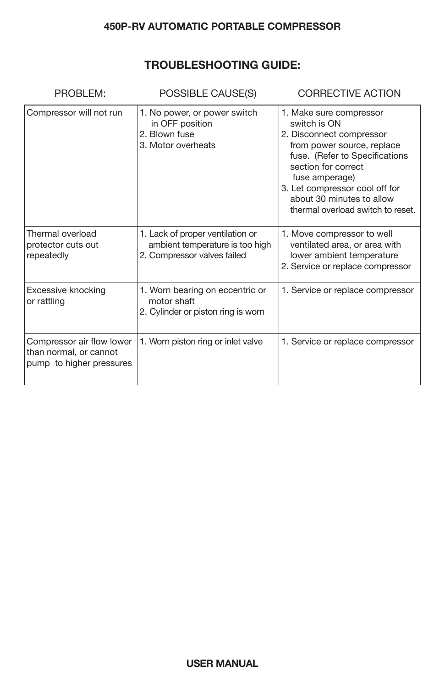# **TROUBLESHOOTING GUIDE:**

| PROBLEM:                                                                        | POSSIBLE CAUSE(S)                                                                                  | <b>CORRECTIVE ACTION</b>                                                                                                                                                                                                                                                         |
|---------------------------------------------------------------------------------|----------------------------------------------------------------------------------------------------|----------------------------------------------------------------------------------------------------------------------------------------------------------------------------------------------------------------------------------------------------------------------------------|
| Compressor will not run                                                         | 1. No power, or power switch<br>in OFF position<br>2. Blown fuse<br>3. Motor overheats             | 1. Make sure compressor<br>switch is ON<br>2. Disconnect compressor<br>from power source, replace<br>fuse. (Refer to Specifications<br>section for correct<br>fuse amperage)<br>3. Let compressor cool off for<br>about 30 minutes to allow<br>thermal overload switch to reset. |
| Thermal overload<br>protector cuts out<br>repeatedly                            | 1. Lack of proper ventilation or<br>ambient temperature is too high<br>2. Compressor valves failed | 1. Move compressor to well<br>ventilated area, or area with<br>lower ambient temperature<br>2. Service or replace compressor                                                                                                                                                     |
| Excessive knocking<br>or rattling                                               | 1. Worn bearing on eccentric or<br>motor shaft<br>2. Cylinder or piston ring is worn               | 1. Service or replace compressor                                                                                                                                                                                                                                                 |
| Compressor air flow lower<br>than normal, or cannot<br>pump to higher pressures | 1. Worn piston ring or inlet valve                                                                 | 1. Service or replace compressor                                                                                                                                                                                                                                                 |